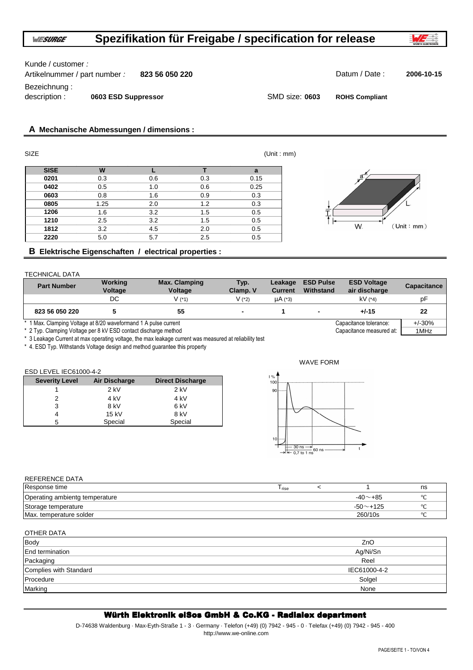# Kunde / customer :

Artikelnummer / part number : **823 56 050 220** Datum / Date : **2006-10-15** Bezeichnung : description : **0603 ESD Suppressor** SMD size: 0603

 $(Unit : mm)$ 

**ROHS Compliant**

# **A Mechanische Abmessungen / dimensions :**

| <b>SIZE</b> |      |     |     | (Unit : mm) |    |
|-------------|------|-----|-----|-------------|----|
| <b>SISE</b> | W    |     |     | a           |    |
| 0201        | 0.3  | 0.6 | 0.3 | 0.15        | a. |
| 0402        | 0.5  | 1.0 | 0.6 | 0.25        |    |
| 0603        | 0.8  | 1.6 | 0.9 | 0.3         |    |
| 0805        | 1.25 | 2.0 | 1.2 | 0.3         |    |
| 1206        | 1.6  | 3.2 | 1.5 | 0.5         |    |
| 1210        | 2.5  | 3.2 | 1.5 | 0.5         |    |
| 1812        | 3.2  | 4.5 | 2.0 | 0.5         | W. |
| 2220        | 5.0  | 5.7 | 2.5 | 0.5         |    |

# **B Elektrische Eigenschaften / electrical properties :**

#### TECHNICAL DATA

| <b>Part Number</b>                                              | Working<br>Voltage | <b>Max. Clamping</b><br>Voltage | Typ.<br>Clamp. V | Leakage<br><b>Current</b> | <b>ESD Pulse</b><br>Withstand | <b>ESD Voltage</b><br>air discharge | Capacitance |
|-----------------------------------------------------------------|--------------------|---------------------------------|------------------|---------------------------|-------------------------------|-------------------------------------|-------------|
|                                                                 | DC.                | V (*1)                          | V (2)            | $\mu$ A (*3)              |                               | $kV$ (*4)                           | рF          |
| 823 56 050 220                                                  |                    | 55                              |                  |                           |                               | $+/-15$                             | 22          |
| * 1 Max. Clamping Voltage at 8/20 waveformand 1 A pulse current |                    |                                 |                  |                           |                               | Capacitance tolerance:              | $+/-30%$    |

\* 2 Typ. Clamping Voltage per 8 kV ESD contact discharge method Capacitance measured at:  $\overline{1}$ MHz

\* 3 Leakage Current at max operating voltage, the max leakage current was measured at reliability test

\* 4. ESD Typ. Withstands Voltage design and method guarantee this property

## ESD LEVEL IEC61000-4-2

| <b>Severity Level</b> | Air Discharge | <b>Direct Discharge</b> |
|-----------------------|---------------|-------------------------|
|                       | $2$ kV        | $2$ kV                  |
|                       | 4 kV          | 4 kV                    |
| 3                     | 8 kV          | 6 kV                    |
| 4                     | 15 kV         | 8 kV                    |
| 5                     | Special       | Special                 |



# REFERENCE DATA

| Response time                  | l rise |                | ns       |
|--------------------------------|--------|----------------|----------|
| Operating ambientg temperature |        | $-40$ $ +85$   |          |
| Storage temperature            |        | $-50$ $-$ +125 |          |
| Max. temperature solder        |        | 260/10s        | $\Omega$ |

| OTHER DATA             |              |
|------------------------|--------------|
| Body                   | ZnO          |
| End termination        | Ag/Ni/Sn     |
| Packaging              | Reel         |
| Complies with Standard | IEC61000-4-2 |
| Procedure              | Solgel       |
| Marking                | None         |

# Würth Elektronik eiSos GmbH & Co.KG - Radialex department

D-74638 Waldenburg · Max-Eyth-Straße 1 - 3 · Germany · Telefon (+49) (0) 7942 - 945 - 0 · Telefax (+49) (0) 7942 - 945 - 400 http://www.we-online.com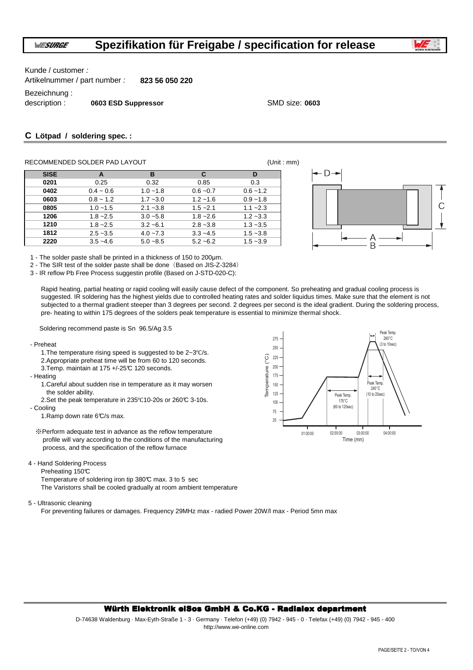

Kunde / customer :

Artikelnummer / part number : **823 56 050 220**

Bezeichnung :

description : **0603 ESD Suppressor** SMD size: **0603**

# **C Lötpad / soldering spec. :**

# RECOMMENDED SOLDER PAD LAYOUT **EXAMPLE 2018** (Unit : mm)

| <b>SISE</b> | A           | в           | C           | D           |
|-------------|-------------|-------------|-------------|-------------|
| 0201        | 0.25        | 0.32        | 0.85        | 0.3         |
| 0402        | $0.4 - 0.6$ | $1.0 - 1.8$ | $0.6 - 0.7$ | $0.6 - 1.2$ |
| 0603        | $0.8 - 1.2$ | $1.7 - 3.0$ | $1.2 - 1.6$ | $0.9 - 1.8$ |
| 0805        | $1.0 - 1.5$ | $2.1 - 3.8$ | $1.5 - 2.1$ | $1.1 - 2.3$ |
| 1206        | $1.8 - 2.5$ | $3.0 - 5.8$ | $1.8 - 2.6$ | $1.2 - 3.3$ |
| 1210        | $1.8 - 2.5$ | $3.2 - 6.1$ | $2.8 - 3.8$ | $1.3 - 3.5$ |
| 1812        | $2.5 - 3.5$ | $4.0 - 7.3$ | $3.3 - 4.5$ | $1.5 - 3.8$ |
| 2220        | $3.5 - 4.6$ | $5.0 - 8.5$ | $5.2 - 6.2$ | $1.5 - 3.9$ |



1 - The solder paste shall be printed in a thickness of 150 to 200µm.

2 - The SIR test of the solder paste shall be done (Based on JIS-Z-3284)

3 - IR reflow Pb Free Process suggestin profile (Based on J-STD-020-C):

Rapid heating, partial heating or rapid cooling will easily cause defect of the component. So preheating and gradual cooling process is suggested. IR soldering has the highest yields due to controlled heating rates and solder liquidus times. Make sure that the element is not subjected to a thermal gradient steeper than 3 degrees per second. 2 degrees per second is the ideal gradient. During the soldering process, pre- heating to within 175 degrees of the solders peak temperature is essential to minimize thermal shock.

Soldering recommend paste is Sn 96.5/Ag 3.5

- Preheat
	- 1.The temperature rising speed is suggested to be 2~3℃/s. 2.Appropriate preheat time will be from 60 to 120 seconds.

3.Temp. maintain at 175 +/-25°C 120 seconds.

- Heating

- 1.Careful about sudden rise in temperature as it may worsen the solder ability.
- 2.Set the peak temperature in 235℃10-20s or 260°C 3-10s.

- Cooling

1.Ramp down rate 6°C/s max.

- ※Perform adequate test in advance as the reflow temperature profile will vary according to the conditions of the manufacturing process, and the specification of the reflow furnace
- 4 Hand Soldering Process

Preheating 150°C

Temperature of soldering iron tip 380°C max. 3 to 5 sec The Varistorrs shall be cooled gradually at room ambient temperature

5 - Ultrasonic cleaning

For preventing failures or damages. Frequency 29MHz max - radied Power 20W/l max - Period 5mn max 175  $\frac{1}{2}$ 



### Würth Elektronik eiSos GmbH & Co.KG - Radialex department Würth Elektronik eiSos GmbH & Co.KG - Radialex department

D-74638 Waldenburg · Max-Eyth-Straße 1 - 3 · Germany · Telefon (+49) (0) 7942 - 945 - 0 · Telefax (+49) (0) 7942 - 945 - 400 http://www.we-online.com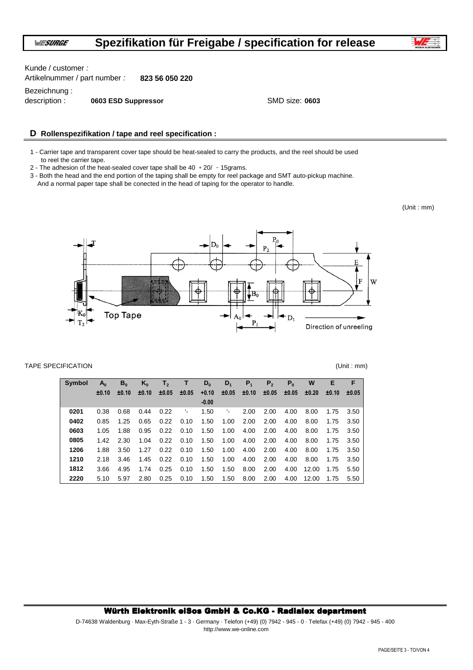

Kunde / customer :

Artikelnummer / part number : **823 56 050 220**

Bezeichnung :

description : **0603 ESD Suppressor** SMD size: 0603

# **D Rollenspezifikation / tape and reel specification :**

1 - Carrier tape and transparent cover tape should be heat-sealed to carry the products, and the reel should be used to reel the carrier tape.

2 - The adhesion of the heat-sealed cover tape shall be  $40 + 20/ -15$ grams.

3 - Both the head and the end portion of the taping shall be empty for reel package and SMT auto-pickup machine. And a normal paper tape shall be conected in the head of taping for the operator to handle.

(Unit : mm)



### TAPE SPECIFICATION (Unit : mm)

| <b>Symbol</b> | $A_0$ | $B_0$ | $K_0$ | T <sub>2</sub> | т.    | $D_0$   | $D_1$ | P <sub>1</sub> | P <sub>2</sub> | P <sub>0</sub> | W     | Е     | F     |
|---------------|-------|-------|-------|----------------|-------|---------|-------|----------------|----------------|----------------|-------|-------|-------|
|               | ±0.10 | ±0.10 | ±0.10 | ±0.05          | ±0.05 | $+0.10$ | ±0.05 | ±0.10          | ±0.05          | ±0.05          | ±0.20 | ±0.10 | ±0.05 |
|               |       |       |       |                |       | $-0.00$ |       |                |                |                |       |       |       |
| 0201          | 0.38  | 0.68  | 0.44  | 0.22           | ٠.    | 1.50    | ٠.    | 2.00           | 2.00           | 4.00           | 8.00  | 1.75  | 3.50  |
| 0402          | 0.85  | 1.25  | 0.65  | 0.22           | 0.10  | 1.50    | 1.00  | 2.00           | 2.00           | 4.00           | 8.00  | 1.75  | 3.50  |
| 0603          | 1.05  | 1.88  | 0.95  | 0.22           | 0.10  | 1.50    | 1.00  | 4.00           | 2.00           | 4.00           | 8.00  | 1.75  | 3.50  |
| 0805          | 1.42  | 2.30  | 1.04  | 0.22           | 0.10  | 1.50    | 1.00  | 4.00           | 2.00           | 4.00           | 8.00  | 1.75  | 3.50  |
| 1206          | 1.88  | 3.50  | 1.27  | 0.22           | 0.10  | 1.50    | 1.00  | 4.00           | 2.00           | 4.00           | 8.00  | 1.75  | 3.50  |
| 1210          | 2.18  | 3.46  | 1.45  | 0.22           | 0.10  | 1.50    | 1.00  | 4.00           | 2.00           | 4.00           | 8.00  | 1.75  | 3.50  |
| 1812          | 3.66  | 4.95  | 1.74  | 0.25           | 0.10  | 1.50    | 1.50  | 8.00           | 2.00           | 4.00           | 12.00 | 1.75  | 5.50  |
| 2220          | 5.10  | 5.97  | 2.80  | 0.25           | 0.10  | 1.50    | 1.50  | 8.00           | 2.00           | 4.00           | 12.00 | 1.75  | 5.50  |

### Würth Elektronik eiSos GmbH & Co.KG - Radialex department

D-74638 Waldenburg · Max-Eyth-Straße 1 - 3 · Germany · Telefon (+49) (0) 7942 - 945 - 0 · Telefax (+49) (0) 7942 - 945 - 400 http://www.we-online.com